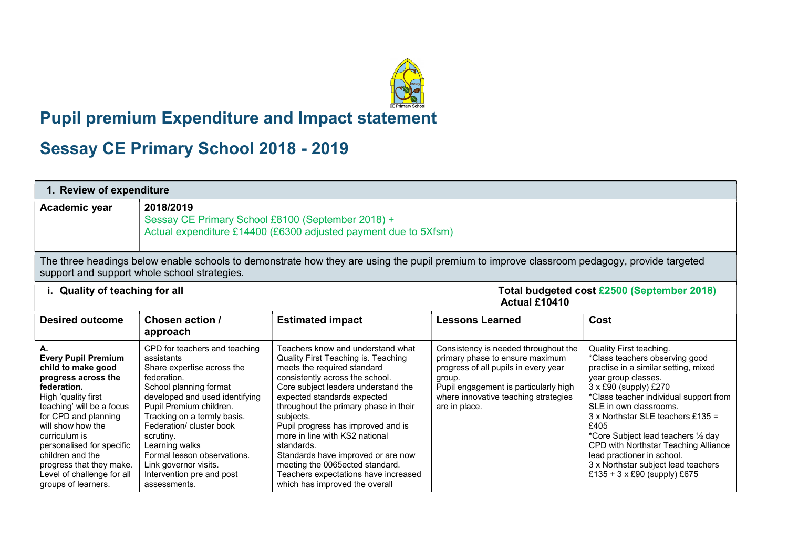## i<br>Li Pupil premium Expenditure and Impact statement

## Sessay CE Primary School 2018 - 2019

| 1. Review of expenditure                                                                                                                                                                                                                                                                                                                         |                                                                                                                                                                                                                                                                                                                                                                                |                                                                                                                                                                                                                                                                                                                                                                                                                                                                                                                 |                                                                                                                                                                                                                             |                                                                                                                                                                                                                                                                                                                                                                                                                                                        |
|--------------------------------------------------------------------------------------------------------------------------------------------------------------------------------------------------------------------------------------------------------------------------------------------------------------------------------------------------|--------------------------------------------------------------------------------------------------------------------------------------------------------------------------------------------------------------------------------------------------------------------------------------------------------------------------------------------------------------------------------|-----------------------------------------------------------------------------------------------------------------------------------------------------------------------------------------------------------------------------------------------------------------------------------------------------------------------------------------------------------------------------------------------------------------------------------------------------------------------------------------------------------------|-----------------------------------------------------------------------------------------------------------------------------------------------------------------------------------------------------------------------------|--------------------------------------------------------------------------------------------------------------------------------------------------------------------------------------------------------------------------------------------------------------------------------------------------------------------------------------------------------------------------------------------------------------------------------------------------------|
| Academic year                                                                                                                                                                                                                                                                                                                                    | 2018/2019<br>Sessay CE Primary School £8100 (September 2018) +<br>Actual expenditure £14400 (£6300 adjusted payment due to 5Xfsm)                                                                                                                                                                                                                                              |                                                                                                                                                                                                                                                                                                                                                                                                                                                                                                                 |                                                                                                                                                                                                                             |                                                                                                                                                                                                                                                                                                                                                                                                                                                        |
| The three headings below enable schools to demonstrate how they are using the pupil premium to improve classroom pedagogy, provide targeted<br>support and support whole school strategies.                                                                                                                                                      |                                                                                                                                                                                                                                                                                                                                                                                |                                                                                                                                                                                                                                                                                                                                                                                                                                                                                                                 |                                                                                                                                                                                                                             |                                                                                                                                                                                                                                                                                                                                                                                                                                                        |
| Total budgeted cost £2500 (September 2018)<br>i. Quality of teaching for all<br>Actual £10410                                                                                                                                                                                                                                                    |                                                                                                                                                                                                                                                                                                                                                                                |                                                                                                                                                                                                                                                                                                                                                                                                                                                                                                                 |                                                                                                                                                                                                                             |                                                                                                                                                                                                                                                                                                                                                                                                                                                        |
| <b>Desired outcome</b>                                                                                                                                                                                                                                                                                                                           | Chosen action /<br>approach                                                                                                                                                                                                                                                                                                                                                    | <b>Estimated impact</b>                                                                                                                                                                                                                                                                                                                                                                                                                                                                                         | <b>Lessons Learned</b>                                                                                                                                                                                                      | Cost                                                                                                                                                                                                                                                                                                                                                                                                                                                   |
| А.<br><b>Every Pupil Premium</b><br>child to make good<br>progress across the<br>federation.<br>High 'quality first<br>teaching' will be a focus<br>for CPD and planning<br>will show how the<br>curriculum is<br>personalised for specific<br>children and the<br>progress that they make.<br>Level of challenge for all<br>groups of learners. | CPD for teachers and teaching<br>assistants<br>Share expertise across the<br>federation.<br>School planning format<br>developed and used identifying<br>Pupil Premium children.<br>Tracking on a termly basis.<br>Federation/ cluster book<br>scrutiny.<br>Learning walks<br>Formal lesson observations.<br>Link governor visits.<br>Intervention pre and post<br>assessments. | Teachers know and understand what<br>Quality First Teaching is. Teaching<br>meets the required standard<br>consistently across the school.<br>Core subject leaders understand the<br>expected standards expected<br>throughout the primary phase in their<br>subjects.<br>Pupil progress has improved and is<br>more in line with KS2 national<br>standards.<br>Standards have improved or are now<br>meeting the 0065ected standard.<br>Teachers expectations have increased<br>which has improved the overall | Consistency is needed throughout the<br>primary phase to ensure maximum<br>progress of all pupils in every year<br>group.<br>Pupil engagement is particularly high<br>where innovative teaching strategies<br>are in place. | Quality First teaching.<br>*Class teachers observing good<br>practise in a similar setting, mixed<br>year group classes.<br>3 x £90 (supply) £270<br>*Class teacher individual support from<br>SLE in own classrooms.<br>3 x Northstar SLE teachers £135 =<br>£405<br>*Core Subject lead teachers 1/2 day<br>CPD with Northstar Teaching Alliance<br>lead practioner in school.<br>3 x Northstar subject lead teachers<br>£135 + 3 x £90 (supply) £675 |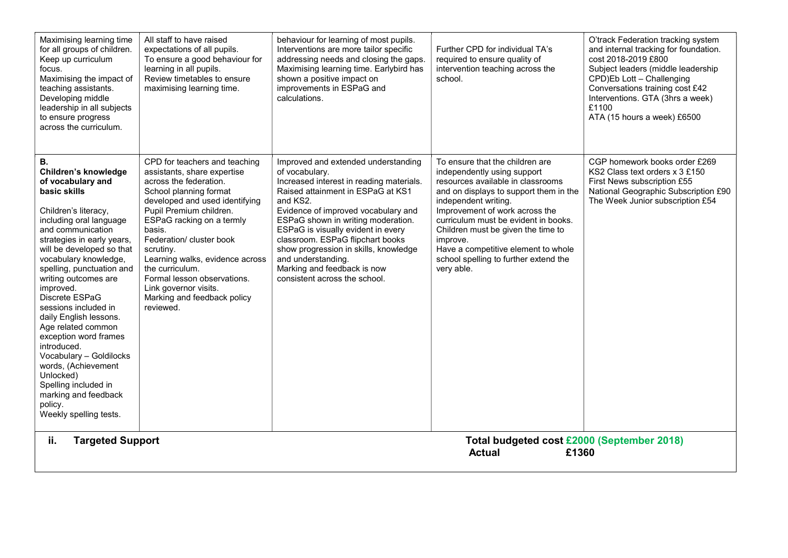| Maximising learning time<br>for all groups of children.<br>Keep up curriculum<br>focus.<br>Maximising the impact of<br>teaching assistants.<br>Developing middle<br>leadership in all subjects<br>to ensure progress<br>across the curriculum.                                                                                                                                                                                                                                                                                                                                      | All staff to have raised<br>expectations of all pupils.<br>To ensure a good behaviour for<br>learning in all pupils.<br>Review timetables to ensure<br>maximising learning time.                                                                                                                                                                                                                                        | behaviour for learning of most pupils.<br>Interventions are more tailor specific<br>addressing needs and closing the gaps.<br>Maximising learning time. Earlybird has<br>shown a positive impact on<br>improvements in ESPaG and<br>calculations.                                                                                                                                                                                        | Further CPD for individual TA's<br>required to ensure quality of<br>intervention teaching across the<br>school.                                                                                                                                                                                                                                                                                 | O'track Federation tracking system<br>and internal tracking for foundation.<br>cost 2018-2019 £800<br>Subject leaders (middle leadership<br>CPD)Eb Lott - Challenging<br>Conversations training cost £42<br>Interventions. GTA (3hrs a week)<br>£1100<br>ATA (15 hours a week) £6500 |
|-------------------------------------------------------------------------------------------------------------------------------------------------------------------------------------------------------------------------------------------------------------------------------------------------------------------------------------------------------------------------------------------------------------------------------------------------------------------------------------------------------------------------------------------------------------------------------------|-------------------------------------------------------------------------------------------------------------------------------------------------------------------------------------------------------------------------------------------------------------------------------------------------------------------------------------------------------------------------------------------------------------------------|------------------------------------------------------------------------------------------------------------------------------------------------------------------------------------------------------------------------------------------------------------------------------------------------------------------------------------------------------------------------------------------------------------------------------------------|-------------------------------------------------------------------------------------------------------------------------------------------------------------------------------------------------------------------------------------------------------------------------------------------------------------------------------------------------------------------------------------------------|--------------------------------------------------------------------------------------------------------------------------------------------------------------------------------------------------------------------------------------------------------------------------------------|
| В.<br>Children's knowledge<br>of vocabulary and<br>basic skills<br>Children's literacy,<br>including oral language<br>and communication<br>strategies in early years,<br>will be developed so that<br>vocabulary knowledge,<br>spelling, punctuation and<br>writing outcomes are<br>improved.<br>Discrete ESPaG<br>sessions included in<br>daily English lessons.<br>Age related common<br>exception word frames<br>introduced.<br>Vocabulary - Goldilocks<br>words, (Achievement<br>Unlocked)<br>Spelling included in<br>marking and feedback<br>policy.<br>Weekly spelling tests. | CPD for teachers and teaching<br>assistants, share expertise<br>across the federation.<br>School planning format<br>developed and used identifying<br>Pupil Premium children.<br>ESPaG racking on a termly<br>basis.<br>Federation/ cluster book<br>scrutiny.<br>Learning walks, evidence across<br>the curriculum.<br>Formal lesson observations.<br>Link governor visits.<br>Marking and feedback policy<br>reviewed. | Improved and extended understanding<br>of vocabulary.<br>Increased interest in reading materials.<br>Raised attainment in ESPaG at KS1<br>and KS2.<br>Evidence of improved vocabulary and<br>ESPaG shown in writing moderation.<br>ESPaG is visually evident in every<br>classroom. ESPaG flipchart books<br>show progression in skills, knowledge<br>and understanding.<br>Marking and feedback is now<br>consistent across the school. | To ensure that the children are<br>independently using support<br>resources available in classrooms<br>and on displays to support them in the<br>independent writing.<br>Improvement of work across the<br>curriculum must be evident in books.<br>Children must be given the time to<br>improve.<br>Have a competitive element to whole<br>school spelling to further extend the<br>very able. | CGP homework books order £269<br>KS2 Class text orders x 3 £150<br>First News subscription £55<br>National Geographic Subscription £90<br>The Week Junior subscription £54                                                                                                           |
| ii.<br><b>Targeted Support</b><br>Total budgeted cost £2000 (September 2018)<br><b>Actual</b><br>£1360                                                                                                                                                                                                                                                                                                                                                                                                                                                                              |                                                                                                                                                                                                                                                                                                                                                                                                                         |                                                                                                                                                                                                                                                                                                                                                                                                                                          |                                                                                                                                                                                                                                                                                                                                                                                                 |                                                                                                                                                                                                                                                                                      |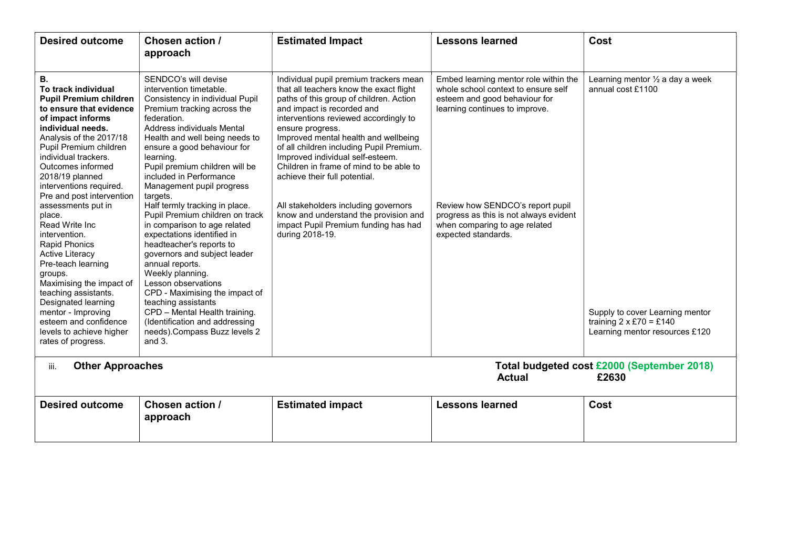| <b>Desired outcome</b>                                                                                                                                                                                                                                                                                                                                                                                                                                                                                                                                                                                                                  | Chosen action /<br>approach                                                                                                                                                                                                                                                                                                                                                                                                                                                                                                                                                                                                                                                                                                                                                              | <b>Estimated Impact</b>                                                                                                                                                                                                                                                                                                                                                                                                                                                                                                                                                 | <b>Lessons learned</b>                                                                                                                                                                                                                                                                | Cost                                                                                                                                                                   |
|-----------------------------------------------------------------------------------------------------------------------------------------------------------------------------------------------------------------------------------------------------------------------------------------------------------------------------------------------------------------------------------------------------------------------------------------------------------------------------------------------------------------------------------------------------------------------------------------------------------------------------------------|------------------------------------------------------------------------------------------------------------------------------------------------------------------------------------------------------------------------------------------------------------------------------------------------------------------------------------------------------------------------------------------------------------------------------------------------------------------------------------------------------------------------------------------------------------------------------------------------------------------------------------------------------------------------------------------------------------------------------------------------------------------------------------------|-------------------------------------------------------------------------------------------------------------------------------------------------------------------------------------------------------------------------------------------------------------------------------------------------------------------------------------------------------------------------------------------------------------------------------------------------------------------------------------------------------------------------------------------------------------------------|---------------------------------------------------------------------------------------------------------------------------------------------------------------------------------------------------------------------------------------------------------------------------------------|------------------------------------------------------------------------------------------------------------------------------------------------------------------------|
| В.<br>To track individual<br><b>Pupil Premium children</b><br>to ensure that evidence<br>of impact informs<br>individual needs.<br>Analysis of the 2017/18<br>Pupil Premium children<br>individual trackers.<br>Outcomes informed<br>2018/19 planned<br>interventions required.<br>Pre and post intervention<br>assessments put in<br>place.<br>Read Write Inc<br>intervention.<br><b>Rapid Phonics</b><br>Active Literacy<br>Pre-teach learning<br>groups.<br>Maximising the impact of<br>teaching assistants.<br>Designated learning<br>mentor - Improving<br>esteem and confidence<br>levels to achieve higher<br>rates of progress. | SENDCO's will devise<br>intervention timetable.<br>Consistency in individual Pupil<br>Premium tracking across the<br>federation.<br>Address individuals Mental<br>Health and well being needs to<br>ensure a good behaviour for<br>learning.<br>Pupil premium children will be<br>included in Performance<br>Management pupil progress<br>targets.<br>Half termly tracking in place.<br>Pupil Premium children on track<br>in comparison to age related<br>expectations identified in<br>headteacher's reports to<br>governors and subject leader<br>annual reports.<br>Weekly planning.<br>Lesson observations<br>CPD - Maximising the impact of<br>teaching assistants<br>CPD - Mental Health training.<br>(Identification and addressing<br>needs). Compass Buzz levels 2<br>and $3.$ | Individual pupil premium trackers mean<br>that all teachers know the exact flight<br>paths of this group of children. Action<br>and impact is recorded and<br>interventions reviewed accordingly to<br>ensure progress.<br>Improved mental health and wellbeing<br>of all children including Pupil Premium.<br>Improved individual self-esteem.<br>Children in frame of mind to be able to<br>achieve their full potential.<br>All stakeholders including governors<br>know and understand the provision and<br>impact Pupil Premium funding has had<br>during 2018-19. | Embed learning mentor role within the<br>whole school context to ensure self<br>esteem and good behaviour for<br>learning continues to improve.<br>Review how SENDCO's report pupil<br>progress as this is not always evident<br>when comparing to age related<br>expected standards. | Learning mentor $\frac{1}{2}$ a day a week<br>annual cost £1100<br>Supply to cover Learning mentor<br>training $2 \times £70 = £140$<br>Learning mentor resources £120 |
| <b>Other Approaches</b><br>Total budgeted cost £2000 (September 2018)<br>iii.<br>£2630<br><b>Actual</b>                                                                                                                                                                                                                                                                                                                                                                                                                                                                                                                                 |                                                                                                                                                                                                                                                                                                                                                                                                                                                                                                                                                                                                                                                                                                                                                                                          |                                                                                                                                                                                                                                                                                                                                                                                                                                                                                                                                                                         |                                                                                                                                                                                                                                                                                       |                                                                                                                                                                        |
| <b>Desired outcome</b>                                                                                                                                                                                                                                                                                                                                                                                                                                                                                                                                                                                                                  | Chosen action /<br>approach                                                                                                                                                                                                                                                                                                                                                                                                                                                                                                                                                                                                                                                                                                                                                              | <b>Estimated impact</b>                                                                                                                                                                                                                                                                                                                                                                                                                                                                                                                                                 | <b>Lessons learned</b>                                                                                                                                                                                                                                                                | Cost                                                                                                                                                                   |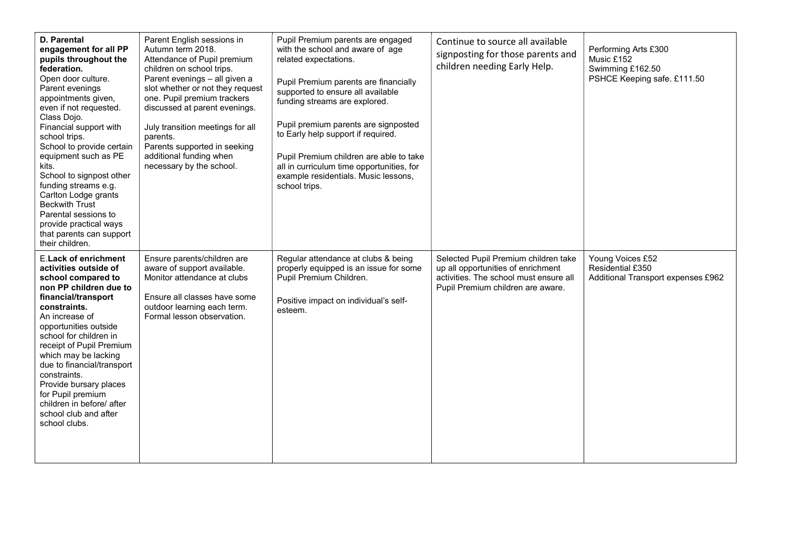| <b>D. Parental</b><br>engagement for all PP<br>pupils throughout the<br>federation.<br>Open door culture.<br>Parent evenings<br>appointments given,<br>even if not requested.<br>Class Dojo.<br>Financial support with<br>school trips.<br>School to provide certain<br>equipment such as PE<br>kits.<br>School to signpost other<br>funding streams e.g.<br>Carlton Lodge grants<br><b>Beckwith Trust</b><br>Parental sessions to<br>provide practical ways<br>that parents can support<br>their children. | Parent English sessions in<br>Autumn term 2018.<br>Attendance of Pupil premium<br>children on school trips.<br>Parent evenings - all given a<br>slot whether or not they request<br>one. Pupil premium trackers<br>discussed at parent evenings.<br>July transition meetings for all<br>parents.<br>Parents supported in seeking<br>additional funding when<br>necessary by the school. | Pupil Premium parents are engaged<br>with the school and aware of age<br>related expectations.<br>Pupil Premium parents are financially<br>supported to ensure all available<br>funding streams are explored.<br>Pupil premium parents are signposted<br>to Early help support if required.<br>Pupil Premium children are able to take<br>all in curriculum time opportunities, for<br>example residentials. Music lessons,<br>school trips. | Continue to source all available<br>signposting for those parents and<br>children needing Early Help.                                                     | Performing Arts £300<br>Music £152<br>Swimming £162.50<br>PSHCE Keeping safe. £111.50 |
|-------------------------------------------------------------------------------------------------------------------------------------------------------------------------------------------------------------------------------------------------------------------------------------------------------------------------------------------------------------------------------------------------------------------------------------------------------------------------------------------------------------|-----------------------------------------------------------------------------------------------------------------------------------------------------------------------------------------------------------------------------------------------------------------------------------------------------------------------------------------------------------------------------------------|----------------------------------------------------------------------------------------------------------------------------------------------------------------------------------------------------------------------------------------------------------------------------------------------------------------------------------------------------------------------------------------------------------------------------------------------|-----------------------------------------------------------------------------------------------------------------------------------------------------------|---------------------------------------------------------------------------------------|
| <b>E.Lack of enrichment</b><br>activities outside of<br>school compared to<br>non PP children due to<br>financial/transport<br>constraints.<br>An increase of<br>opportunities outside<br>school for children in<br>receipt of Pupil Premium<br>which may be lacking<br>due to financial/transport<br>constraints.<br>Provide bursary places<br>for Pupil premium<br>children in before/ after<br>school club and after<br>school clubs.                                                                    | Ensure parents/children are<br>aware of support available.<br>Monitor attendance at clubs<br>Ensure all classes have some<br>outdoor learning each term.<br>Formal lesson observation.                                                                                                                                                                                                  | Regular attendance at clubs & being<br>properly equipped is an issue for some<br>Pupil Premium Children.<br>Positive impact on individual's self-<br>esteem.                                                                                                                                                                                                                                                                                 | Selected Pupil Premium children take<br>up all opportunities of enrichment<br>activities. The school must ensure all<br>Pupil Premium children are aware. | Young Voices £52<br>Residential £350<br>Additional Transport expenses £962            |